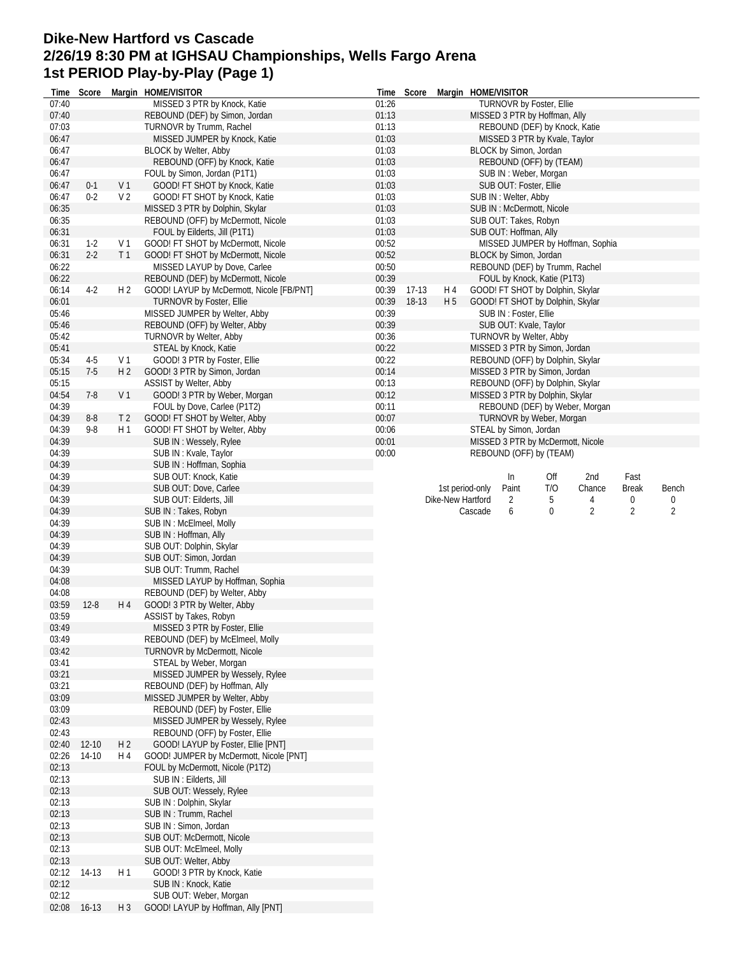## **Dike-New Hartford vs Cascade 2/26/19 8:30 PM at IGHSAU Championships, Wells Fargo Arena 1st PERIOD Play-by-Play (Page 1)**

| Time           |          |                | Score Margin HOME/VISITOR                                    |       | Time Score |                   | Margin HOME/VISITOR               |                                |     |                                  |                |       |
|----------------|----------|----------------|--------------------------------------------------------------|-------|------------|-------------------|-----------------------------------|--------------------------------|-----|----------------------------------|----------------|-------|
| 07:40          |          |                | MISSED 3 PTR by Knock, Katie                                 | 01:26 |            |                   |                                   | TURNOVR by Foster, Ellie       |     |                                  |                |       |
| 07:40          |          |                | REBOUND (DEF) by Simon, Jordan                               | 01:13 |            |                   | MISSED 3 PTR by Hoffman, Ally     |                                |     |                                  |                |       |
| 07:03          |          |                | TURNOVR by Trumm, Rachel                                     | 01:13 |            |                   |                                   | REBOUND (DEF) by Knock, Katie  |     |                                  |                |       |
| 06:47          |          |                | MISSED JUMPER by Knock, Katie                                | 01:03 |            |                   |                                   | MISSED 3 PTR by Kvale, Taylor  |     |                                  |                |       |
| 06:47          |          |                | BLOCK by Welter, Abby                                        | 01:03 |            |                   | BLOCK by Simon, Jordan            |                                |     |                                  |                |       |
| 06:47          |          |                | REBOUND (OFF) by Knock, Katie                                | 01:03 |            |                   |                                   | REBOUND (OFF) by (TEAM)        |     |                                  |                |       |
| 06:47          |          |                | FOUL by Simon, Jordan (P1T1)                                 | 01:03 |            |                   |                                   | SUB IN: Weber, Morgan          |     |                                  |                |       |
| 06:47          | $0 - 1$  | V <sub>1</sub> | GOOD! FT SHOT by Knock, Katie                                | 01:03 |            |                   |                                   | SUB OUT: Foster, Ellie         |     |                                  |                |       |
| 06:47          | $0 - 2$  | V <sub>2</sub> | GOOD! FT SHOT by Knock, Katie                                | 01:03 |            |                   | SUB IN: Welter, Abby              |                                |     |                                  |                |       |
| 06:35          |          |                | MISSED 3 PTR by Dolphin, Skylar                              | 01:03 |            |                   | SUB IN: McDermott, Nicole         |                                |     |                                  |                |       |
| 06:35          |          |                | REBOUND (OFF) by McDermott, Nicole                           | 01:03 |            |                   | SUB OUT: Takes, Robyn             |                                |     |                                  |                |       |
| 06:31          |          |                | FOUL by Eilderts, Jill (P1T1)                                | 01:03 |            |                   | SUB OUT: Hoffman, Ally            |                                |     |                                  |                |       |
| 06:31          | $1-2$    | V <sub>1</sub> | GOOD! FT SHOT by McDermott, Nicole                           | 00:52 |            |                   |                                   |                                |     | MISSED JUMPER by Hoffman, Sophia |                |       |
| 06:31          | $2 - 2$  | T <sub>1</sub> | GOOD! FT SHOT by McDermott, Nicole                           | 00:52 |            |                   | BLOCK by Simon, Jordan            |                                |     |                                  |                |       |
| 06:22          |          |                | MISSED LAYUP by Dove, Carlee                                 | 00:50 |            |                   | REBOUND (DEF) by Trumm, Rachel    |                                |     |                                  |                |       |
| 06:22          |          |                | REBOUND (DEF) by McDermott, Nicole                           | 00:39 |            |                   |                                   | FOUL by Knock, Katie (P1T3)    |     |                                  |                |       |
| 06:14          | $4-2$    | H <sub>2</sub> | GOOD! LAYUP by McDermott, Nicole [FB/PNT]                    | 00:39 | 17-13      | H 4               | GOOD! FT SHOT by Dolphin, Skylar  |                                |     |                                  |                |       |
| 06:01          |          |                | <b>TURNOVR by Foster, Ellie</b>                              | 00:39 | 18-13      | H <sub>5</sub>    | GOOD! FT SHOT by Dolphin, Skylar  |                                |     |                                  |                |       |
| 05:46          |          |                | MISSED JUMPER by Welter, Abby                                | 00:39 |            |                   |                                   | SUB IN: Foster, Ellie          |     |                                  |                |       |
| 05:46          |          |                | REBOUND (OFF) by Welter, Abby                                | 00:39 |            |                   |                                   | SUB OUT: Kvale, Taylor         |     |                                  |                |       |
| 05:42          |          |                | <b>TURNOVR by Welter, Abby</b>                               | 00:36 |            |                   | TURNOVR by Welter, Abby           |                                |     |                                  |                |       |
| 05:41          |          |                | STEAL by Knock, Katie                                        | 00:22 |            |                   | MISSED 3 PTR by Simon, Jordan     |                                |     |                                  |                |       |
| 05:34          | $4-5$    | V <sub>1</sub> | GOOD! 3 PTR by Foster, Ellie                                 | 00:22 |            |                   | REBOUND (OFF) by Dolphin, Skylar  |                                |     |                                  |                |       |
| 05:15          | $7-5$    | H <sub>2</sub> | GOOD! 3 PTR by Simon, Jordan                                 | 00:14 |            |                   | MISSED 3 PTR by Simon, Jordan     |                                |     |                                  |                |       |
| 05:15          |          |                | ASSIST by Welter, Abby                                       | 00:13 |            |                   | REBOUND (OFF) by Dolphin, Skylar  |                                |     |                                  |                |       |
| 04:54          | $7-8$    | V <sub>1</sub> | GOOD! 3 PTR by Weber, Morgan                                 | 00:12 |            |                   | MISSED 3 PTR by Dolphin, Skylar   |                                |     |                                  |                |       |
| 04:39          |          |                | FOUL by Dove, Carlee (P1T2)                                  | 00:11 |            |                   |                                   | REBOUND (DEF) by Weber, Morgan |     |                                  |                |       |
| 04:39          | $8-8$    | T <sub>2</sub> | GOOD! FT SHOT by Welter, Abby                                | 00:07 |            |                   |                                   | TURNOVR by Weber, Morgan       |     |                                  |                |       |
| 04:39          | $9 - 8$  | H 1            | GOOD! FT SHOT by Welter, Abby                                | 00:06 |            |                   | STEAL by Simon, Jordan            |                                |     |                                  |                |       |
| 04:39          |          |                | SUB IN: Wessely, Rylee                                       | 00:01 |            |                   | MISSED 3 PTR by McDermott, Nicole |                                |     |                                  |                |       |
| 04:39          |          |                | SUB IN: Kvale, Taylor                                        | 00:00 |            |                   | REBOUND (OFF) by (TEAM)           |                                |     |                                  |                |       |
| 04:39          |          |                | SUB IN: Hoffman, Sophia                                      |       |            |                   |                                   |                                |     |                                  |                |       |
| 04:39          |          |                | SUB OUT: Knock, Katie                                        |       |            |                   |                                   | In                             | Off | 2nd                              | Fast           |       |
| 04:39          |          |                | SUB OUT: Dove, Carlee                                        |       |            | 1st period-only   | Paint                             |                                | T/O | Chance                           | <b>Break</b>   | Bench |
| 04:39          |          |                | SUB OUT: Eilderts, Jill                                      |       |            | Dike-New Hartford |                                   | 2                              | 5   | 4                                | 0              | 0     |
| 04:39          |          |                | SUB IN: Takes, Robyn                                         |       |            |                   | Cascade                           | 6                              | 0   | $\overline{2}$                   | $\overline{2}$ | 2     |
| 04:39          |          |                | SUB IN: McElmeel, Molly                                      |       |            |                   |                                   |                                |     |                                  |                |       |
|                |          |                |                                                              |       |            |                   |                                   |                                |     |                                  |                |       |
| 04:39          |          |                | SUB IN: Hoffman, Ally                                        |       |            |                   |                                   |                                |     |                                  |                |       |
| 04:39          |          |                | SUB OUT: Dolphin, Skylar                                     |       |            |                   |                                   |                                |     |                                  |                |       |
| 04:39          |          |                | SUB OUT: Simon, Jordan                                       |       |            |                   |                                   |                                |     |                                  |                |       |
| 04:39          |          |                | SUB OUT: Trumm, Rachel                                       |       |            |                   |                                   |                                |     |                                  |                |       |
| 04:08          |          |                | MISSED LAYUP by Hoffman, Sophia                              |       |            |                   |                                   |                                |     |                                  |                |       |
| 04:08          |          |                | REBOUND (DEF) by Welter, Abby                                |       |            |                   |                                   |                                |     |                                  |                |       |
| 03:59          | $12 - 8$ | H 4            | GOOD! 3 PTR by Welter, Abby                                  |       |            |                   |                                   |                                |     |                                  |                |       |
| 03:59          |          |                | <b>ASSIST by Takes, Robyn</b>                                |       |            |                   |                                   |                                |     |                                  |                |       |
| 03:49          |          |                | MISSED 3 PTR by Foster, Ellie                                |       |            |                   |                                   |                                |     |                                  |                |       |
| 03:49          |          |                | REBOUND (DEF) by McElmeel, Molly                             |       |            |                   |                                   |                                |     |                                  |                |       |
| 03:42          |          |                | TURNOVR by McDermott, Nicole                                 |       |            |                   |                                   |                                |     |                                  |                |       |
| 03:41          |          |                | STEAL by Weber, Morgan                                       |       |            |                   |                                   |                                |     |                                  |                |       |
| 03:21          |          |                | MISSED JUMPER by Wessely, Rylee                              |       |            |                   |                                   |                                |     |                                  |                |       |
| 03:21          |          |                | REBOUND (DEF) by Hoffman, Ally                               |       |            |                   |                                   |                                |     |                                  |                |       |
| 03:09          |          |                | MISSED JUMPER by Welter, Abby                                |       |            |                   |                                   |                                |     |                                  |                |       |
| 03:09          |          |                | REBOUND (DEF) by Foster, Ellie                               |       |            |                   |                                   |                                |     |                                  |                |       |
| 02:43          |          |                | MISSED JUMPER by Wessely, Rylee                              |       |            |                   |                                   |                                |     |                                  |                |       |
| 02:43          |          |                | REBOUND (OFF) by Foster, Ellie                               |       |            |                   |                                   |                                |     |                                  |                |       |
| 02:40          | $12-10$  | H 2            | GOOD! LAYUP by Foster, Ellie [PNT]                           |       |            |                   |                                   |                                |     |                                  |                |       |
| 02:26          | 14-10    | H 4            | GOOD! JUMPER by McDermott, Nicole [PNT]                      |       |            |                   |                                   |                                |     |                                  |                |       |
| 02:13          |          |                | FOUL by McDermott, Nicole (P1T2)                             |       |            |                   |                                   |                                |     |                                  |                |       |
| 02:13          |          |                | SUB IN : Eilderts, Jill                                      |       |            |                   |                                   |                                |     |                                  |                |       |
| 02:13          |          |                | SUB OUT: Wessely, Rylee                                      |       |            |                   |                                   |                                |     |                                  |                |       |
| 02:13          |          |                | SUB IN: Dolphin, Skylar                                      |       |            |                   |                                   |                                |     |                                  |                |       |
| 02:13          |          |                | SUB IN: Trumm, Rachel                                        |       |            |                   |                                   |                                |     |                                  |                |       |
| 02:13          |          |                | SUB IN: Simon, Jordan                                        |       |            |                   |                                   |                                |     |                                  |                |       |
| 02:13          |          |                | SUB OUT: McDermott, Nicole                                   |       |            |                   |                                   |                                |     |                                  |                |       |
| 02:13          |          |                | SUB OUT: McElmeel, Molly                                     |       |            |                   |                                   |                                |     |                                  |                |       |
| 02:13          |          |                | SUB OUT: Welter, Abby                                        |       |            |                   |                                   |                                |     |                                  |                |       |
| 02:12          | 14-13    | H1             | GOOD! 3 PTR by Knock, Katie                                  |       |            |                   |                                   |                                |     |                                  |                |       |
| 02:12          |          |                | SUB IN: Knock, Katie                                         |       |            |                   |                                   |                                |     |                                  |                |       |
| 02:12<br>02:08 | $16-13$  | H <sub>3</sub> | SUB OUT: Weber, Morgan<br>GOOD! LAYUP by Hoffman, Ally [PNT] |       |            |                   |                                   |                                |     |                                  |                |       |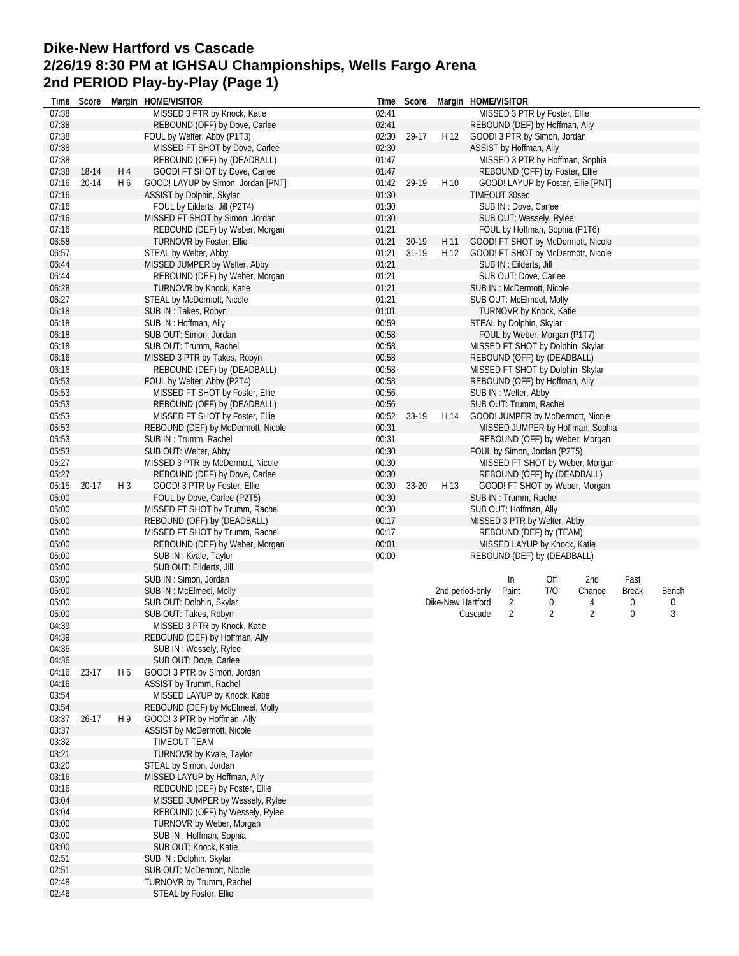## **Dike-New Hartford vs Cascade 2/26/19 8:30 PM at IGHSAU Championships, Wells Fargo Arena 2nd PERIOD Play-by-Play (Page 1)**

| Time           | Score     |     | Margin HOME/VISITOR                                    |                | Time Score |                   | Margin HOME/VISITOR                                 |                |                |              |       |
|----------------|-----------|-----|--------------------------------------------------------|----------------|------------|-------------------|-----------------------------------------------------|----------------|----------------|--------------|-------|
| 07:38          |           |     | MISSED 3 PTR by Knock, Katie                           | 02:41          |            |                   | MISSED 3 PTR by Foster, Ellie                       |                |                |              |       |
| 07:38          |           |     | REBOUND (OFF) by Dove, Carlee                          | 02:41          |            |                   | REBOUND (DEF) by Hoffman, Ally                      |                |                |              |       |
| 07:38          |           |     | FOUL by Welter, Abby (P1T3)                            | 02:30          | 29-17      | H 12              | GOOD! 3 PTR by Simon, Jordan                        |                |                |              |       |
| 07:38          |           |     | MISSED FT SHOT by Dove, Carlee                         | 02:30          |            |                   | ASSIST by Hoffman, Ally                             |                |                |              |       |
| 07:38          |           |     | REBOUND (OFF) by (DEADBALL)                            | 01:47          |            |                   | MISSED 3 PTR by Hoffman, Sophia                     |                |                |              |       |
| 07:38          | 18-14     | H4  | GOOD! FT SHOT by Dove, Carlee                          | 01:47          |            |                   | REBOUND (OFF) by Foster, Ellie                      |                |                |              |       |
| 07:16          | $20 - 14$ | H 6 | GOOD! LAYUP by Simon, Jordan [PNT]                     | 01:42          | 29-19      | H 10              | GOOD! LAYUP by Foster, Ellie [PNT]                  |                |                |              |       |
| 07:16          |           |     | ASSIST by Dolphin, Skylar                              | 01:30          |            |                   | TIMEOUT 30sec                                       |                |                |              |       |
| 07:16          |           |     | FOUL by Eilderts, Jill (P2T4)                          | 01:30          |            |                   | SUB IN : Dove, Carlee                               |                |                |              |       |
| 07:16          |           |     | MISSED FT SHOT by Simon, Jordan                        | 01:30          |            |                   | SUB OUT: Wessely, Rylee                             |                |                |              |       |
| 07:16          |           |     | REBOUND (DEF) by Weber, Morgan                         | 01:21          |            |                   | FOUL by Hoffman, Sophia (P1T6)                      |                |                |              |       |
| 06:58          |           |     | TURNOVR by Foster, Ellie                               | 01:21          | 30-19      | H 11              | GOOD! FT SHOT by McDermott, Nicole                  |                |                |              |       |
| 06:57          |           |     | STEAL by Welter, Abby                                  | 01:21          | 31-19      | H 12              | GOOD! FT SHOT by McDermott, Nicole                  |                |                |              |       |
| 06:44          |           |     | MISSED JUMPER by Welter, Abby                          | 01:21          |            |                   | SUB IN : Eilderts, Jill                             |                |                |              |       |
| 06:44          |           |     | REBOUND (DEF) by Weber, Morgan                         | 01:21          |            |                   | SUB OUT: Dove, Carlee                               |                |                |              |       |
| 06:28          |           |     | TURNOVR by Knock, Katie                                | 01:21          |            |                   | SUB IN: McDermott, Nicole                           |                |                |              |       |
| 06:27<br>06:18 |           |     | STEAL by McDermott, Nicole                             | 01:21<br>01:01 |            |                   | SUB OUT: McElmeel, Molly                            |                |                |              |       |
| 06:18          |           |     | SUB IN: Takes, Robyn<br>SUB IN: Hoffman, Ally          | 00:59          |            |                   | TURNOVR by Knock, Katie<br>STEAL by Dolphin, Skylar |                |                |              |       |
| 06:18          |           |     | SUB OUT: Simon, Jordan                                 | 00:58          |            |                   | FOUL by Weber, Morgan (P1T7)                        |                |                |              |       |
| 06:18          |           |     |                                                        | 00:58          |            |                   | MISSED FT SHOT by Dolphin, Skylar                   |                |                |              |       |
| 06:16          |           |     | SUB OUT: Trumm, Rachel<br>MISSED 3 PTR by Takes, Robyn | 00:58          |            |                   | REBOUND (OFF) by (DEADBALL)                         |                |                |              |       |
| 06:16          |           |     | REBOUND (DEF) by (DEADBALL)                            | 00:58          |            |                   | MISSED FT SHOT by Dolphin, Skylar                   |                |                |              |       |
| 05:53          |           |     | FOUL by Welter, Abby (P2T4)                            | 00:58          |            |                   | REBOUND (OFF) by Hoffman, Ally                      |                |                |              |       |
| 05:53          |           |     | MISSED FT SHOT by Foster, Ellie                        | 00:56          |            |                   | SUB IN : Welter, Abby                               |                |                |              |       |
| 05:53          |           |     | REBOUND (OFF) by (DEADBALL)                            | 00:56          |            |                   | SUB OUT: Trumm, Rachel                              |                |                |              |       |
| 05:53          |           |     | MISSED FT SHOT by Foster, Ellie                        | 00:52          | 33-19      | H 14              | GOOD! JUMPER by McDermott, Nicole                   |                |                |              |       |
| 05:53          |           |     | REBOUND (DEF) by McDermott, Nicole                     | 00:31          |            |                   | MISSED JUMPER by Hoffman, Sophia                    |                |                |              |       |
| 05:53          |           |     | SUB IN: Trumm, Rachel                                  | 00:31          |            |                   | REBOUND (OFF) by Weber, Morgan                      |                |                |              |       |
| 05:53          |           |     | SUB OUT: Welter, Abby                                  | 00:30          |            |                   | FOUL by Simon, Jordan (P2T5)                        |                |                |              |       |
| 05:27          |           |     | MISSED 3 PTR by McDermott, Nicole                      | 00:30          |            |                   | MISSED FT SHOT by Weber, Morgan                     |                |                |              |       |
| 05:27          |           |     | REBOUND (DEF) by Dove, Carlee                          | 00:30          |            |                   | REBOUND (OFF) by (DEADBALL)                         |                |                |              |       |
| 05:15          | $20 - 17$ | H 3 | GOOD! 3 PTR by Foster, Ellie                           | 00:30          | 33-20      | H 13              | GOOD! FT SHOT by Weber, Morgan                      |                |                |              |       |
| 05:00          |           |     | FOUL by Dove, Carlee (P2T5)                            | 00:30          |            |                   | SUB IN: Trumm, Rachel                               |                |                |              |       |
| 05:00          |           |     | MISSED FT SHOT by Trumm, Rachel                        | 00:30          |            |                   | SUB OUT: Hoffman, Ally                              |                |                |              |       |
| 05:00          |           |     | REBOUND (OFF) by (DEADBALL)                            | 00:17          |            |                   | MISSED 3 PTR by Welter, Abby                        |                |                |              |       |
| 05:00          |           |     | MISSED FT SHOT by Trumm, Rachel                        | 00:17          |            |                   | REBOUND (DEF) by (TEAM)                             |                |                |              |       |
| 05:00          |           |     | REBOUND (DEF) by Weber, Morgan                         | 00:01          |            |                   | MISSED LAYUP by Knock, Katie                        |                |                |              |       |
| 05:00          |           |     | SUB IN: Kvale, Taylor                                  | 00:00          |            |                   | REBOUND (DEF) by (DEADBALL)                         |                |                |              |       |
| 05:00          |           |     | SUB OUT: Eilderts, Jill                                |                |            |                   |                                                     |                |                |              |       |
| 05:00          |           |     | SUB IN: Simon, Jordan                                  |                |            |                   | In                                                  | Off            | 2nd            | Fast         |       |
| 05:00          |           |     | SUB IN: McElmeel, Molly                                |                |            | 2nd period-only   | Paint                                               | T/O            | Chance         | <b>Break</b> | Bench |
| 05:00          |           |     | SUB OUT: Dolphin, Skylar                               |                |            | Dike-New Hartford | 2                                                   | 0              | 4              | 0            | 0     |
| 05:00          |           |     | SUB OUT: Takes, Robyn                                  |                |            |                   | $\overline{2}$<br>Cascade                           | $\overline{2}$ | $\overline{2}$ | 0            | 3     |
| 04:39          |           |     | MISSED 3 PTR by Knock, Katie                           |                |            |                   |                                                     |                |                |              |       |
| 04:39          |           |     | REBOUND (DEF) by Hoffman, Ally                         |                |            |                   |                                                     |                |                |              |       |
| 04:36          |           |     | SUB IN: Wessely, Rylee                                 |                |            |                   |                                                     |                |                |              |       |
| 04:36          |           |     | SUB OUT: Dove, Carlee                                  |                |            |                   |                                                     |                |                |              |       |
| 04:16          | 23-17     | H 6 | GOOD! 3 PTR by Simon, Jordan                           |                |            |                   |                                                     |                |                |              |       |
| 04:16          |           |     | ASSIST by Trumm, Rachel                                |                |            |                   |                                                     |                |                |              |       |
| 03:54          |           |     | MISSED LAYUP by Knock, Katie                           |                |            |                   |                                                     |                |                |              |       |
| 03:54          |           |     | REBOUND (DEF) by McElmeel, Molly                       |                |            |                   |                                                     |                |                |              |       |
| 03:37          | $26 - 17$ | H 9 | GOOD! 3 PTR by Hoffman, Ally                           |                |            |                   |                                                     |                |                |              |       |
| 03:37          |           |     | <b>ASSIST by McDermott, Nicole</b>                     |                |            |                   |                                                     |                |                |              |       |
| 03:32          |           |     | <b>TIMEOUT TEAM</b>                                    |                |            |                   |                                                     |                |                |              |       |
| 03:21          |           |     | TURNOVR by Kvale, Taylor                               |                |            |                   |                                                     |                |                |              |       |
| 03:20          |           |     | STEAL by Simon, Jordan                                 |                |            |                   |                                                     |                |                |              |       |
| 03:16          |           |     | MISSED LAYUP by Hoffman, Ally                          |                |            |                   |                                                     |                |                |              |       |
| 03:16          |           |     | REBOUND (DEF) by Foster, Ellie                         |                |            |                   |                                                     |                |                |              |       |
| 03:04          |           |     | MISSED JUMPER by Wessely, Rylee                        |                |            |                   |                                                     |                |                |              |       |
| 03:04          |           |     | REBOUND (OFF) by Wessely, Rylee                        |                |            |                   |                                                     |                |                |              |       |
| 03:00          |           |     | TURNOVR by Weber, Morgan                               |                |            |                   |                                                     |                |                |              |       |
| 03:00          |           |     | SUB IN: Hoffman, Sophia                                |                |            |                   |                                                     |                |                |              |       |
| 03:00          |           |     | SUB OUT: Knock, Katie                                  |                |            |                   |                                                     |                |                |              |       |
| 02:51          |           |     | SUB IN: Dolphin, Skylar                                |                |            |                   |                                                     |                |                |              |       |
| 02:51          |           |     | SUB OUT: McDermott, Nicole                             |                |            |                   |                                                     |                |                |              |       |
| 02:48          |           |     | TURNOVR by Trumm, Rachel                               |                |            |                   |                                                     |                |                |              |       |
| 02:46          |           |     | STEAL by Foster, Ellie                                 |                |            |                   |                                                     |                |                |              |       |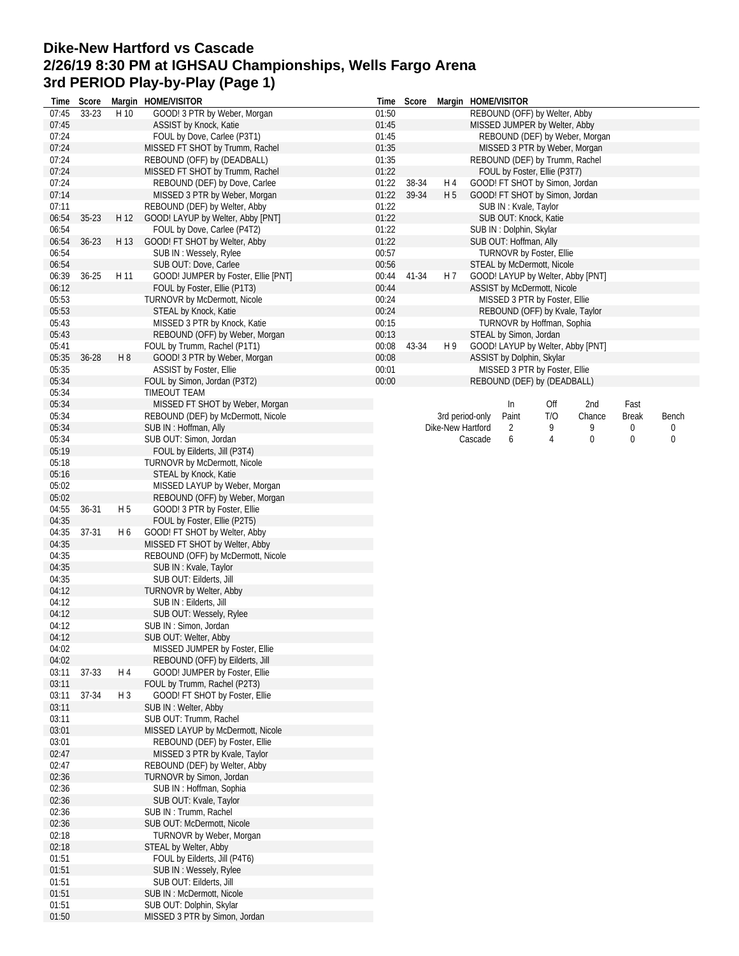## **Dike-New Hartford vs Cascade 2/26/19 8:30 PM at IGHSAU Championships, Wells Fargo Arena 3rd PERIOD Play-by-Play (Page 1)**

| Time           | Score     |                | Margin HOME/VISITOR                                            | Time           | Score          |                       | Margin HOME/VISITOR |                           |                                 |                                   |              |       |
|----------------|-----------|----------------|----------------------------------------------------------------|----------------|----------------|-----------------------|---------------------|---------------------------|---------------------------------|-----------------------------------|--------------|-------|
| 07:45          | 33-23     | H 10           | GOOD! 3 PTR by Weber, Morgan                                   | 01:50          |                |                       |                     |                           | REBOUND (OFF) by Welter, Abby   |                                   |              |       |
| 07:45          |           |                | ASSIST by Knock, Katie                                         | 01:45          |                |                       |                     |                           | MISSED JUMPER by Welter, Abby   |                                   |              |       |
| 07:24          |           |                | FOUL by Dove, Carlee (P3T1)                                    | 01:45          |                |                       |                     |                           |                                 | REBOUND (DEF) by Weber, Morgan    |              |       |
| 07:24          |           |                | MISSED FT SHOT by Trumm, Rachel                                | 01:35          |                |                       |                     |                           | MISSED 3 PTR by Weber, Morgan   |                                   |              |       |
| 07:24          |           |                | REBOUND (OFF) by (DEADBALL)                                    | 01:35          |                |                       |                     |                           | REBOUND (DEF) by Trumm, Rachel  |                                   |              |       |
| 07:24          |           |                | MISSED FT SHOT by Trumm, Rachel                                | 01:22          |                |                       |                     |                           | FOUL by Foster, Ellie (P3T7)    |                                   |              |       |
| 07:24<br>07:14 |           |                | REBOUND (DEF) by Dove, Carlee                                  | 01:22<br>01:22 | 38-34<br>39-34 | H 4<br>H <sub>5</sub> |                     |                           | GOOD! FT SHOT by Simon, Jordan  |                                   |              |       |
| 07:11          |           |                | MISSED 3 PTR by Weber, Morgan<br>REBOUND (DEF) by Welter, Abby | 01:22          |                |                       |                     | SUB IN: Kvale, Taylor     | GOOD! FT SHOT by Simon, Jordan  |                                   |              |       |
| 06:54          | $35 - 23$ | H 12           | GOOD! LAYUP by Welter, Abby [PNT]                              | 01:22          |                |                       |                     | SUB OUT: Knock, Katie     |                                 |                                   |              |       |
| 06:54          |           |                | FOUL by Dove, Carlee (P4T2)                                    | 01:22          |                |                       |                     | SUB IN: Dolphin, Skylar   |                                 |                                   |              |       |
| 06:54          | $36 - 23$ | H 13           | GOOD! FT SHOT by Welter, Abby                                  | 01:22          |                |                       |                     | SUB OUT: Hoffman, Ally    |                                 |                                   |              |       |
| 06:54          |           |                | SUB IN: Wessely, Rylee                                         | 00:57          |                |                       |                     |                           | <b>TURNOVR by Foster, Ellie</b> |                                   |              |       |
| 06:54          |           |                | SUB OUT: Dove, Carlee                                          | 00:56          |                |                       |                     |                           | STEAL by McDermott, Nicole      |                                   |              |       |
| 06:39          | $36 - 25$ | H 11           | GOOD! JUMPER by Foster, Ellie [PNT]                            | 00:44          | 41-34          | H 7                   |                     |                           |                                 | GOOD! LAYUP by Welter, Abby [PNT] |              |       |
| 06:12          |           |                | FOUL by Foster, Ellie (P1T3)                                   | 00:44          |                |                       |                     |                           | ASSIST by McDermott, Nicole     |                                   |              |       |
| 05:53          |           |                | TURNOVR by McDermott, Nicole                                   | 00:24          |                |                       |                     |                           | MISSED 3 PTR by Foster, Ellie   |                                   |              |       |
| 05:53          |           |                | STEAL by Knock, Katie                                          | 00:24          |                |                       |                     |                           | REBOUND (OFF) by Kvale, Taylor  |                                   |              |       |
| 05:43          |           |                | MISSED 3 PTR by Knock, Katie                                   | 00:15          |                |                       |                     |                           | TURNOVR by Hoffman, Sophia      |                                   |              |       |
| 05:43          |           |                | REBOUND (OFF) by Weber, Morgan                                 | 00:13          |                |                       |                     | STEAL by Simon, Jordan    |                                 |                                   |              |       |
| 05:41          |           |                | FOUL by Trumm, Rachel (P1T1)                                   | 00:08          | 43-34          | H 9                   |                     |                           |                                 | GOOD! LAYUP by Welter, Abby [PNT] |              |       |
| 05:35          | 36-28     | H 8            | GOOD! 3 PTR by Weber, Morgan                                   | 00:08          |                |                       |                     | ASSIST by Dolphin, Skylar |                                 |                                   |              |       |
| 05:35          |           |                | <b>ASSIST by Foster, Ellie</b>                                 | 00:01          |                |                       |                     |                           | MISSED 3 PTR by Foster, Ellie   |                                   |              |       |
| 05:34          |           |                | FOUL by Simon, Jordan (P3T2)                                   | 00:00          |                |                       |                     |                           | REBOUND (DEF) by (DEADBALL)     |                                   |              |       |
| 05:34          |           |                | TIMEOUT TEAM                                                   |                |                |                       |                     |                           |                                 |                                   |              |       |
| 05:34          |           |                | MISSED FT SHOT by Weber, Morgan                                |                |                |                       |                     | In                        | Off                             | 2nd                               | Fast         |       |
| 05:34          |           |                | REBOUND (DEF) by McDermott, Nicole                             |                |                |                       | 3rd period-only     | Paint                     | T/O                             | Chance                            | <b>Break</b> | Bench |
| 05:34          |           |                | SUB IN: Hoffman, Ally                                          |                |                | Dike-New Hartford     |                     | 2                         | 9                               | 9                                 | 0            | 0     |
| 05:34          |           |                | SUB OUT: Simon, Jordan                                         |                |                |                       | Cascade             | 6                         | 4                               | 0                                 | 0            | 0     |
| 05:19          |           |                | FOUL by Eilderts, Jill (P3T4)                                  |                |                |                       |                     |                           |                                 |                                   |              |       |
| 05:18          |           |                | TURNOVR by McDermott, Nicole                                   |                |                |                       |                     |                           |                                 |                                   |              |       |
| 05:16          |           |                | STEAL by Knock, Katie                                          |                |                |                       |                     |                           |                                 |                                   |              |       |
| 05:02          |           |                | MISSED LAYUP by Weber, Morgan                                  |                |                |                       |                     |                           |                                 |                                   |              |       |
| 05:02          |           |                | REBOUND (OFF) by Weber, Morgan                                 |                |                |                       |                     |                           |                                 |                                   |              |       |
| 04:55          | 36-31     | H <sub>5</sub> | GOOD! 3 PTR by Foster, Ellie                                   |                |                |                       |                     |                           |                                 |                                   |              |       |
| 04:35          |           |                | FOUL by Foster, Ellie (P2T5)                                   |                |                |                       |                     |                           |                                 |                                   |              |       |
| 04:35          | 37-31     | H 6            | GOOD! FT SHOT by Welter, Abby                                  |                |                |                       |                     |                           |                                 |                                   |              |       |
| 04:35          |           |                | MISSED FT SHOT by Welter, Abby                                 |                |                |                       |                     |                           |                                 |                                   |              |       |
| 04:35          |           |                | REBOUND (OFF) by McDermott, Nicole                             |                |                |                       |                     |                           |                                 |                                   |              |       |
| 04:35          |           |                | SUB IN: Kvale, Taylor                                          |                |                |                       |                     |                           |                                 |                                   |              |       |
| 04:35          |           |                | SUB OUT: Eilderts, Jill                                        |                |                |                       |                     |                           |                                 |                                   |              |       |
| 04:12          |           |                | <b>TURNOVR by Welter, Abby</b>                                 |                |                |                       |                     |                           |                                 |                                   |              |       |
| 04:12          |           |                | SUB IN: Eilderts, Jill                                         |                |                |                       |                     |                           |                                 |                                   |              |       |
| 04:12          |           |                | SUB OUT: Wessely, Rylee                                        |                |                |                       |                     |                           |                                 |                                   |              |       |
| 04:12          |           |                | SUB IN: Simon, Jordan                                          |                |                |                       |                     |                           |                                 |                                   |              |       |
| 04:12          |           |                | SUB OUT: Welter, Abby                                          |                |                |                       |                     |                           |                                 |                                   |              |       |
| 04:02          |           |                | MISSED JUMPER by Foster, Ellie                                 |                |                |                       |                     |                           |                                 |                                   |              |       |
| 04:02          |           |                | REBOUND (OFF) by Eilderts, Jill                                |                |                |                       |                     |                           |                                 |                                   |              |       |
| 03:11          | 37-33     | H 4            | GOOD! JUMPER by Foster, Ellie                                  |                |                |                       |                     |                           |                                 |                                   |              |       |
| 03:11          |           |                | FOUL by Trumm, Rachel (P2T3)                                   |                |                |                       |                     |                           |                                 |                                   |              |       |
| 03:11          | 37-34     | H 3            | GOOD! FT SHOT by Foster, Ellie                                 |                |                |                       |                     |                           |                                 |                                   |              |       |
| 03:11          |           |                | SUB IN: Welter, Abby                                           |                |                |                       |                     |                           |                                 |                                   |              |       |
| 03:11          |           |                | SUB OUT: Trumm, Rachel                                         |                |                |                       |                     |                           |                                 |                                   |              |       |
| 03:01          |           |                | MISSED LAYUP by McDermott, Nicole                              |                |                |                       |                     |                           |                                 |                                   |              |       |
| 03:01          |           |                | REBOUND (DEF) by Foster, Ellie                                 |                |                |                       |                     |                           |                                 |                                   |              |       |
| 02:47          |           |                | MISSED 3 PTR by Kvale, Taylor                                  |                |                |                       |                     |                           |                                 |                                   |              |       |
| 02:47          |           |                | REBOUND (DEF) by Welter, Abby                                  |                |                |                       |                     |                           |                                 |                                   |              |       |
| 02:36          |           |                | TURNOVR by Simon, Jordan                                       |                |                |                       |                     |                           |                                 |                                   |              |       |
| 02:36          |           |                | SUB IN: Hoffman, Sophia                                        |                |                |                       |                     |                           |                                 |                                   |              |       |
| 02:36          |           |                | SUB OUT: Kvale, Taylor                                         |                |                |                       |                     |                           |                                 |                                   |              |       |
| 02:36          |           |                | SUB IN: Trumm, Rachel                                          |                |                |                       |                     |                           |                                 |                                   |              |       |
| 02:36          |           |                | SUB OUT: McDermott, Nicole                                     |                |                |                       |                     |                           |                                 |                                   |              |       |
| 02:18          |           |                | TURNOVR by Weber, Morgan                                       |                |                |                       |                     |                           |                                 |                                   |              |       |
| 02:18          |           |                | STEAL by Welter, Abby                                          |                |                |                       |                     |                           |                                 |                                   |              |       |
| 01:51          |           |                | FOUL by Eilderts, Jill (P4T6)                                  |                |                |                       |                     |                           |                                 |                                   |              |       |
| 01:51          |           |                | SUB IN: Wessely, Rylee                                         |                |                |                       |                     |                           |                                 |                                   |              |       |
| 01:51          |           |                | SUB OUT: Eilderts, Jill                                        |                |                |                       |                     |                           |                                 |                                   |              |       |
| 01:51          |           |                | SUB IN: McDermott, Nicole                                      |                |                |                       |                     |                           |                                 |                                   |              |       |
| 01:51          |           |                | SUB OUT: Dolphin, Skylar                                       |                |                |                       |                     |                           |                                 |                                   |              |       |
| 01:50          |           |                | MISSED 3 PTR by Simon, Jordan                                  |                |                |                       |                     |                           |                                 |                                   |              |       |